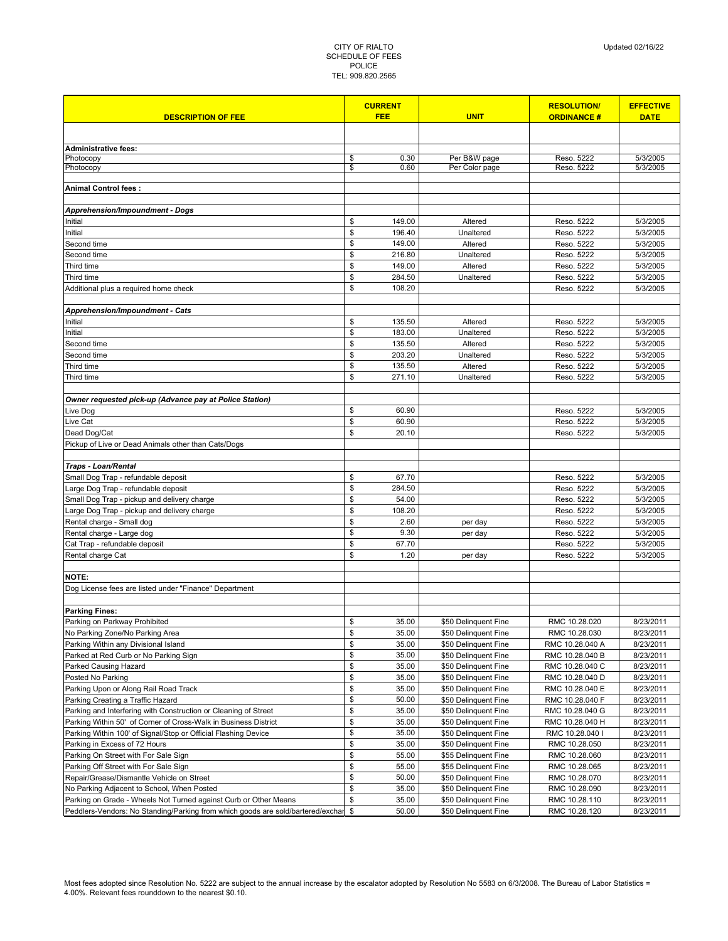|                                                                                 |          | <b>CURRENT</b>  |                      | <b>RESOLUTION/</b>       | <b>EFFECTIVE</b>     |  |
|---------------------------------------------------------------------------------|----------|-----------------|----------------------|--------------------------|----------------------|--|
| <b>DESCRIPTION OF FEE</b>                                                       |          | <b>FEE</b>      | <b>UNIT</b>          | <b>ORDINANCE#</b>        | <b>DATE</b>          |  |
|                                                                                 |          |                 |                      |                          |                      |  |
| <b>Administrative fees:</b>                                                     |          |                 |                      |                          |                      |  |
| Photocopy                                                                       | \$       | 0.30            | Per B&W page         | Reso. 5222               | 5/3/2005             |  |
| Photocopy                                                                       | \$       | 0.60            | Per Color page       | Reso. 5222               | 5/3/2005             |  |
|                                                                                 |          |                 |                      |                          |                      |  |
| Animal Control fees:                                                            |          |                 |                      |                          |                      |  |
|                                                                                 |          |                 |                      |                          |                      |  |
| Apprehension/Impoundment - Dogs<br>Initial                                      | \$       | 149.00          | Altered              | Reso. 5222               | 5/3/2005             |  |
| Initial                                                                         | \$       | 196.40          | Unaltered            | Reso. 5222               | 5/3/2005             |  |
| Second time                                                                     | \$       | 149.00          | Altered              | Reso. 5222               | 5/3/2005             |  |
| Second time                                                                     | \$       | 216.80          | Unaltered            | Reso. 5222               | 5/3/2005             |  |
| Third time                                                                      | \$       | 149.00          | Altered              | Reso. 5222               | 5/3/2005             |  |
| Third time                                                                      | \$       | 284.50          | Unaltered            | Reso. 5222               | 5/3/2005             |  |
| Additional plus a required home check                                           | \$       | 108.20          |                      | Reso. 5222               | 5/3/2005             |  |
|                                                                                 |          |                 |                      |                          |                      |  |
| <b>Apprehension/Impoundment - Cats</b>                                          |          |                 |                      |                          |                      |  |
| Initial                                                                         | \$       | 135.50          | Altered              | Reso. 5222               | 5/3/2005             |  |
| Initial                                                                         | \$       | 183.00          | Unaltered            | Reso. 5222               | 5/3/2005             |  |
| Second time                                                                     | \$       | 135.50          | Altered              | Reso. 5222               | 5/3/2005             |  |
| Second time                                                                     | \$       | 203.20          | Unaltered            | Reso. 5222               | 5/3/2005             |  |
| Third time                                                                      | \$       | 135.50          | Altered              | Reso. 5222               | 5/3/2005             |  |
| Third time                                                                      | \$       | 271.10          | Unaltered            | Reso. 5222               | 5/3/2005             |  |
|                                                                                 |          |                 |                      |                          |                      |  |
| Owner requested pick-up (Advance pay at Police Station)                         |          |                 |                      |                          |                      |  |
| Live Dog                                                                        | \$       | 60.90           |                      | Reso. 5222               | 5/3/2005             |  |
| Live Cat                                                                        | \$       | 60.90           |                      | Reso. 5222               | 5/3/2005             |  |
| Dead Dog/Cat                                                                    | \$       | 20.10           |                      | Reso. 5222               | 5/3/2005             |  |
| Pickup of Live or Dead Animals other than Cats/Dogs                             |          |                 |                      |                          |                      |  |
|                                                                                 |          |                 |                      |                          |                      |  |
| <b>Traps - Loan/Rental</b>                                                      |          |                 |                      |                          |                      |  |
| Small Dog Trap - refundable deposit                                             | \$       | 67.70           |                      | Reso. 5222               | 5/3/2005             |  |
| Large Dog Trap - refundable deposit                                             | \$       | 284.50          |                      | Reso. 5222               | 5/3/2005             |  |
| Small Dog Trap - pickup and delivery charge                                     | \$<br>\$ | 54.00<br>108.20 |                      | Reso. 5222               | 5/3/2005             |  |
| Large Dog Trap - pickup and delivery charge<br>Rental charge - Small dog        | \$       | 2.60            |                      | Reso. 5222<br>Reso. 5222 | 5/3/2005<br>5/3/2005 |  |
| Rental charge - Large dog                                                       | \$       | 9.30            | per day<br>per day   | Reso. 5222               | 5/3/2005             |  |
| Cat Trap - refundable deposit                                                   | \$       | 67.70           |                      | Reso. 5222               | 5/3/2005             |  |
| Rental charge Cat                                                               | \$       | 1.20            | per day              | Reso. 5222               | 5/3/2005             |  |
|                                                                                 |          |                 |                      |                          |                      |  |
| NOTE:                                                                           |          |                 |                      |                          |                      |  |
| Dog License fees are listed under "Finance" Department                          |          |                 |                      |                          |                      |  |
|                                                                                 |          |                 |                      |                          |                      |  |
| <b>Parking Fines:</b>                                                           |          |                 |                      |                          |                      |  |
| Parking on Parkway Prohibited                                                   | \$       | 35.00           | \$50 Delinguent Fine | RMC 10.28.020            | 8/23/2011            |  |
| No Parking Zone/No Parking Area                                                 | \$       | 35.00           | \$50 Delinquent Fine | RMC 10.28.030            | 8/23/2011            |  |
| Parking Within any Divisional Island                                            | \$       | 35.00           | \$50 Delinquent Fine | RMC 10.28.040 A          | 8/23/2011            |  |
| Parked at Red Curb or No Parking Sign                                           | \$       | 35.00           | \$50 Delinquent Fine | RMC 10.28.040 B          | 8/23/2011            |  |
| Parked Causing Hazard                                                           | \$       | 35.00           | \$50 Delinquent Fine | RMC 10.28.040 C          | 8/23/2011            |  |
| Posted No Parking                                                               | \$       | 35.00           | \$50 Delinquent Fine | RMC 10.28.040 D          | 8/23/2011            |  |
| Parking Upon or Along Rail Road Track                                           | \$       | 35.00           | \$50 Delinquent Fine | RMC 10.28.040 E          | 8/23/2011            |  |
| Parking Creating a Traffic Hazard                                               | \$       | 50.00           | \$50 Delinquent Fine | RMC 10.28.040 F          | 8/23/2011            |  |
| Parking and Interfering with Construction or Cleaning of Street                 | \$       | 35.00           | \$50 Delinquent Fine | RMC 10.28.040 G          | 8/23/2011            |  |
| Parking Within 50' of Corner of Cross-Walk in Business District                 | \$       | 35.00           | \$50 Delinquent Fine | RMC 10.28.040 H          | 8/23/2011            |  |
| Parking Within 100' of Signal/Stop or Official Flashing Device                  | \$       | 35.00           | \$50 Delinquent Fine | RMC 10.28.040 I          | 8/23/2011            |  |
| Parking in Excess of 72 Hours                                                   | \$       | 35.00           | \$50 Delinquent Fine | RMC 10.28.050            | 8/23/2011            |  |
| Parking On Street with For Sale Sign                                            | \$       | 55.00           | \$55 Delinquent Fine | RMC 10.28.060            | 8/23/2011            |  |
| Parking Off Street with For Sale Sign                                           | \$       | 55.00           | \$55 Delinquent Fine | RMC 10.28.065            | 8/23/2011            |  |
| Repair/Grease/Dismantle Vehicle on Street                                       | \$       | 50.00           | \$50 Delinquent Fine | RMC 10.28.070            | 8/23/2011            |  |
| No Parking Adjacent to School, When Posted                                      | \$       | 35.00           | \$50 Delinquent Fine | RMC 10.28.090            | 8/23/2011            |  |
| Parking on Grade - Wheels Not Turned against Curb or Other Means                | \$<br>\$ | 35.00           | \$50 Delinquent Fine | RMC 10.28.110            | 8/23/2011            |  |
| Peddlers-Vendors: No Standing/Parking from which goods are sold/bartered/exchar |          | 50.00           | \$50 Delinquent Fine | RMC 10.28.120            | 8/23/2011            |  |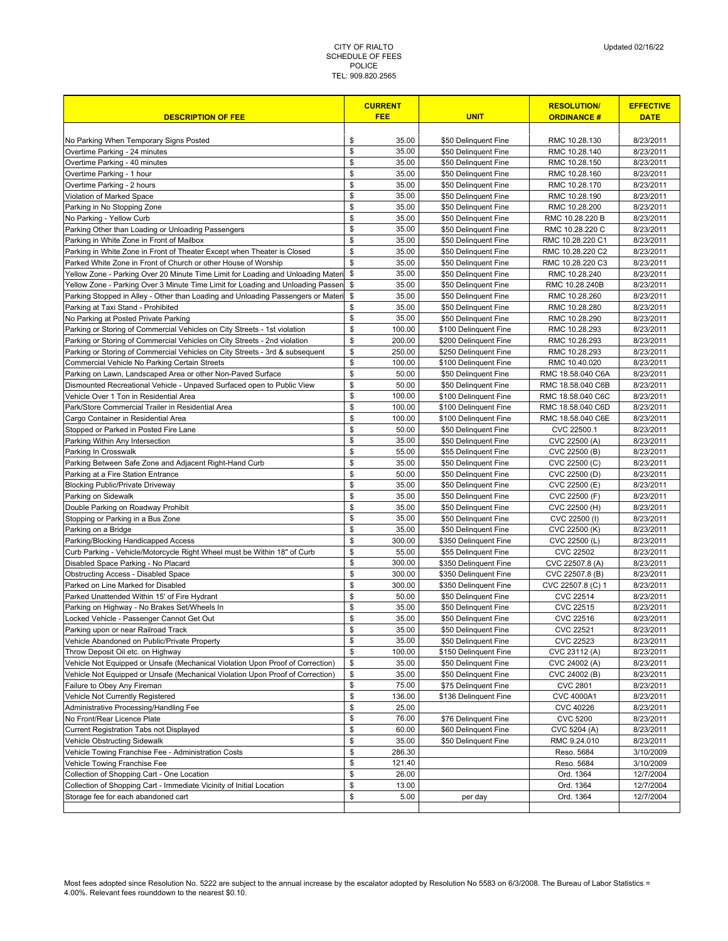|                                                                                                 |          | <b>CURRENT</b>   |                                               | <b>RESOLUTION/</b>                    | <b>EFFECTIVE</b>       |
|-------------------------------------------------------------------------------------------------|----------|------------------|-----------------------------------------------|---------------------------------------|------------------------|
| <b>DESCRIPTION OF FEE</b>                                                                       |          | <b>FEE</b>       | <b>UNIT</b>                                   | <b>ORDINANCE#</b>                     | <b>DATE</b>            |
|                                                                                                 |          |                  |                                               |                                       |                        |
| No Parking When Temporary Signs Posted                                                          | \$       | 35.00            | \$50 Delinquent Fine                          | RMC 10.28.130                         | 8/23/2011              |
| Overtime Parking - 24 minutes                                                                   | \$       | 35.00            | \$50 Delinquent Fine                          | RMC 10.28.140                         | 8/23/2011              |
| Overtime Parking - 40 minutes                                                                   | \$       | 35.00            | \$50 Delinquent Fine                          | RMC 10.28.150                         | 8/23/2011              |
| Overtime Parking - 1 hour                                                                       | \$       | 35.00            | \$50 Delinquent Fine                          | RMC 10.28.160                         | 8/23/2011              |
| Overtime Parking - 2 hours                                                                      | \$       | 35.00            | \$50 Delinquent Fine                          | RMC 10.28.170                         | 8/23/2011              |
| Violation of Marked Space                                                                       | \$       | 35.00            | \$50 Delinquent Fine                          | RMC 10.28.190                         | 8/23/2011              |
| Parking in No Stopping Zone                                                                     | \$<br>\$ | 35.00            | \$50 Delinquent Fine                          | RMC 10.28.200                         | 8/23/2011<br>8/23/2011 |
| No Parking - Yellow Curb                                                                        | \$       | 35.00<br>35.00   | \$50 Delinquent Fine                          | RMC 10.28.220 B                       | 8/23/2011              |
| Parking Other than Loading or Unloading Passengers<br>Parking in White Zone in Front of Mailbox | \$       | 35.00            | \$50 Delinquent Fine<br>\$50 Delinquent Fine  | RMC 10.28.220 C<br>RMC 10.28.220 C1   | 8/23/2011              |
| Parking in White Zone in Front of Theater Except when Theater is Closed                         | \$       | 35.00            | \$50 Delinquent Fine                          | RMC 10.28.220 C2                      | 8/23/2011              |
| Parked White Zone in Front of Church or other House of Worship                                  | \$       | 35.00            | \$50 Delinquent Fine                          | RMC 10.28.220 C3                      | 8/23/2011              |
| Yellow Zone - Parking Over 20 Minute Time Limit for Loading and Unloading Materi                | \$       | 35.00            | \$50 Delinquent Fine                          | RMC 10.28.240                         | 8/23/2011              |
| Yellow Zone - Parking Over 3 Minute Time Limit for Loading and Unloading Passen                 | \$       | 35.00            | \$50 Delinquent Fine                          | RMC 10.28.240B                        | 8/23/2011              |
| Parking Stopped in Alley - Other than Loading and Unloading Passengers or Materi                | \$       | 35.00            | \$50 Delinquent Fine                          | RMC 10.28.260                         | 8/23/2011              |
| Parking at Taxi Stand - Prohibited                                                              | \$       | 35.00            | \$50 Delinquent Fine                          | RMC 10.28.280                         | 8/23/2011              |
| No Parking at Posted Private Parking                                                            | \$       | 35.00            | \$50 Delinquent Fine                          | RMC 10.28.290                         | 8/23/2011              |
| Parking or Storing of Commercial Vehicles on City Streets - 1st violation                       | \$       | 100.00           | \$100 Delinquent Fine                         | RMC 10.28.293                         | 8/23/2011              |
| Parking or Storing of Commercial Vehicles on City Streets - 2nd violation                       | \$       | 200.00           | \$200 Delinquent Fine                         | RMC 10.28.293                         | 8/23/2011              |
| Parking or Storing of Commercial Vehicles on City Streets - 3rd & subsequent                    | \$       | 250.00           | \$250 Delinquent Fine                         | RMC 10.28.293                         | 8/23/2011              |
| Commercial Vehicle No Parking Certain Streets                                                   | \$       | 100.00           | \$100 Delinquent Fine                         | RMC 10.40.020                         | 8/23/2011              |
| Parking on Lawn, Landscaped Area or other Non-Paved Surface                                     | \$       | 50.00            | \$50 Delinquent Fine                          | RMC 18.58.040 C6A                     | 8/23/2011              |
| Dismounted Recreational Vehicle - Unpaved Surfaced open to Public View                          | \$       | 50.00            | \$50 Delinquent Fine                          | RMC 18.58.040 C6B                     | 8/23/2011              |
| Vehicle Over 1 Ton in Residential Area                                                          | \$       | 100.00           | \$100 Delinquent Fine                         | RMC 18.58.040 C6C                     | 8/23/2011              |
| Park/Store Commercial Trailer in Residential Area                                               | \$       | 100.00           | \$100 Delinquent Fine                         | RMC 18.58.040 C6D                     | 8/23/2011              |
| Cargo Container in Residential Area                                                             | \$       | 100.00           | \$100 Delinquent Fine                         | RMC 18.58.040 C6E                     | 8/23/2011              |
| Stopped or Parked in Posted Fire Lane                                                           | \$       | 50.00            | \$50 Delinquent Fine                          | CVC 22500.1                           | 8/23/2011              |
| Parking Within Any Intersection                                                                 | \$       | 35.00            | \$50 Delinquent Fine                          | CVC 22500 (A)                         | 8/23/2011              |
| Parking In Crosswalk                                                                            | \$       | 55.00            | \$55 Delinquent Fine                          | CVC 22500 (B)                         | 8/23/2011              |
| Parking Between Safe Zone and Adjacent Right-Hand Curb                                          | \$       | 35.00            | \$50 Delinquent Fine                          | CVC 22500 (C)                         | 8/23/2011              |
| Parking at a Fire Station Entrance                                                              | \$       | 50.00            | \$50 Delinquent Fine                          | CVC 22500 (D)                         | 8/23/2011              |
| <b>Blocking Public/Private Driveway</b>                                                         | \$       | 35.00            | \$50 Delinquent Fine                          | CVC 22500 (E)                         | 8/23/2011              |
| Parking on Sidewalk                                                                             | \$       | 35.00            | \$50 Delinquent Fine                          | CVC 22500 (F)                         | 8/23/2011              |
| Double Parking on Roadway Prohibit                                                              | \$       | 35.00            | \$50 Delinquent Fine                          | CVC 22500 (H)                         | 8/23/2011              |
| Stopping or Parking in a Bus Zone                                                               | \$       | 35.00            | \$50 Delinquent Fine                          | CVC 22500 (I)                         | 8/23/2011              |
| Parking on a Bridge                                                                             | \$       | 35.00            | \$50 Delinquent Fine                          | CVC 22500 (K)                         | 8/23/2011              |
| Parking/Blocking Handicapped Access                                                             | \$       | 300.00           | \$350 Delinquent Fine                         | CVC 22500 (L)                         | 8/23/2011              |
| Curb Parking - Vehicle/Motorcycle Right Wheel must be Within 18" of Curb                        | \$<br>\$ | 55.00            | \$55 Delinquent Fine<br>\$350 Delinguent Fine | <b>CVC 22502</b>                      | 8/23/2011              |
| Disabled Space Parking - No Placard                                                             |          | 300.00           |                                               | CVC 22507.8 (A)                       | 8/23/2011              |
| <b>Obstructing Access - Disabled Space</b>                                                      | \$<br>\$ | 300.00<br>300.00 | \$350 Delinquent Fine                         | CVC 22507.8 (B)                       | 8/23/2011              |
| Parked on Line Marked for Disabled<br>Parked Unattended Within 15' of Fire Hydrant              | \$       | 50.00            | \$350 Delinquent Fine<br>\$50 Delinquent Fine | CVC 22507.8 (C) 1<br><b>CVC 22514</b> | 8/23/2011<br>8/23/2011 |
| Parking on Highway - No Brakes Set/Wheels In                                                    | \$       | 35.00            | \$50 Delinquent Fine                          | CVC 22515                             | 8/23/2011              |
| Locked Vehicle - Passenger Cannot Get Out                                                       | \$       | 35.00            | \$50 Delinquent Fine                          | <b>CVC 22516</b>                      | 8/23/2011              |
| Parking upon or near Railroad Track                                                             | \$       | 35.00            | \$50 Delinquent Fine                          | <b>CVC 22521</b>                      | 8/23/2011              |
| Vehicle Abandoned on Public/Private Property                                                    | \$       | 35.00            | \$50 Delinquent Fine                          | <b>CVC 22523</b>                      | 8/23/2011              |
| Throw Deposit Oil etc. on Highway                                                               | \$       | 100.00           | \$150 Delinquent Fine                         | CVC 23112 (A)                         | 8/23/2011              |
| Vehicle Not Equipped or Unsafe (Mechanical Violation Upon Proof of Correction)                  | \$       | 35.00            | \$50 Delinquent Fine                          | CVC 24002 (A)                         | 8/23/2011              |
| Vehicle Not Equipped or Unsafe (Mechanical Violation Upon Proof of Correction)                  | \$       | 35.00            | \$50 Delinquent Fine                          | CVC 24002 (B)                         | 8/23/2011              |
| Failure to Obey Any Fireman                                                                     | \$       | 75.00            | \$75 Delinquent Fine                          | <b>CVC 2801</b>                       | 8/23/2011              |
| Vehicle Not Currently Registered                                                                | \$       | 136.00           | \$136 Delinquent Fine                         | CVC 4000A1                            | 8/23/2011              |
| Administrative Processing/Handling Fee                                                          | \$       | 25.00            |                                               | <b>CVC 40226</b>                      | 8/23/2011              |
| No Front/Rear Licence Plate                                                                     | \$       | 76.00            | \$76 Delinquent Fine                          | <b>CVC 5200</b>                       | 8/23/2011              |
| Current Registration Tabs not Displayed                                                         | \$       | 60.00            | \$60 Delinquent Fine                          | CVC 5204 (A)                          | 8/23/2011              |
| Vehicle Obstructing Sidewalk                                                                    | \$       | 35.00            | \$50 Delinquent Fine                          | RMC 9.24.010                          | 8/23/2011              |
| Vehicle Towing Franchise Fee - Administration Costs                                             | \$       | 286.30           |                                               | Reso. 5684                            | 3/10/2009              |
| Vehicle Towing Franchise Fee                                                                    | \$       | 121.40           |                                               | Reso. 5684                            | 3/10/2009              |
| Collection of Shopping Cart - One Location                                                      | \$       | 26.00            |                                               | Ord. 1364                             | 12/7/2004              |
| Collection of Shopping Cart - Immediate Vicinity of Initial Location                            | \$       | 13.00            |                                               | Ord. 1364                             | 12/7/2004              |
| Storage fee for each abandoned cart                                                             | \$       | 5.00             | per day                                       | Ord. 1364                             | 12/7/2004              |
|                                                                                                 |          |                  |                                               |                                       |                        |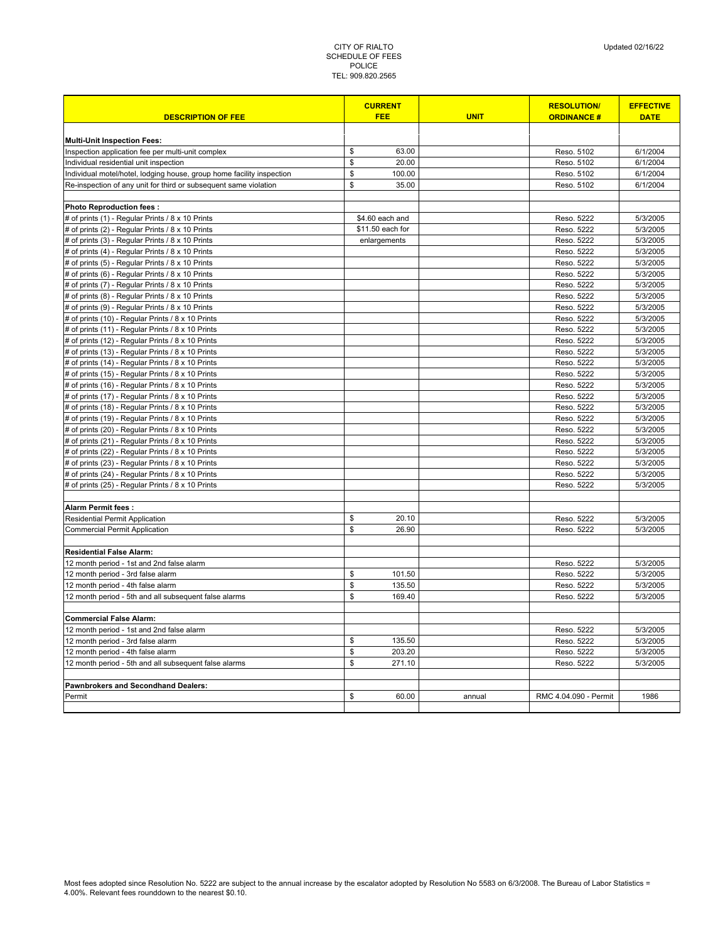| <b>DESCRIPTION OF FEE</b>                                             | <b>CURRENT</b><br><b>FEE</b> | <b>UNIT</b> | <b>RESOLUTION/</b><br><b>ORDINANCE#</b> | <b>EFFECTIVE</b><br><b>DATE</b> |
|-----------------------------------------------------------------------|------------------------------|-------------|-----------------------------------------|---------------------------------|
|                                                                       |                              |             |                                         |                                 |
| <b>Multi-Unit Inspection Fees:</b>                                    |                              |             |                                         |                                 |
| Inspection application fee per multi-unit complex                     | \$<br>63.00                  |             | Reso. 5102                              | 6/1/2004                        |
| Individual residential unit inspection                                | \$<br>20.00                  |             | Reso. 5102                              | 6/1/2004                        |
| Individual motel/hotel, lodging house, group home facility inspection | \$<br>100.00                 |             | Reso. 5102                              | 6/1/2004                        |
| Re-inspection of any unit for third or subsequent same violation      | \$<br>35.00                  |             | Reso. 5102                              | 6/1/2004                        |
|                                                                       |                              |             |                                         |                                 |
| <b>Photo Reproduction fees:</b>                                       |                              |             |                                         |                                 |
| # of prints (1) - Regular Prints / 8 x 10 Prints                      | \$4.60 each and              |             | Reso. 5222                              | 5/3/2005                        |
| # of prints (2) - Regular Prints / 8 x 10 Prints                      | \$11.50 each for             |             | Reso. 5222                              | 5/3/2005                        |
| # of prints (3) - Regular Prints / 8 x 10 Prints                      | enlargements                 |             | Reso. 5222                              | 5/3/2005                        |
| # of prints (4) - Regular Prints / 8 x 10 Prints                      |                              |             | Reso. 5222                              | 5/3/2005                        |
| # of prints (5) - Regular Prints / 8 x 10 Prints                      |                              |             | Reso. 5222                              | 5/3/2005                        |
| # of prints (6) - Regular Prints / 8 x 10 Prints                      |                              |             | Reso. 5222                              | 5/3/2005                        |
| # of prints (7) - Regular Prints / 8 x 10 Prints                      |                              |             | Reso. 5222                              | 5/3/2005                        |
| # of prints (8) - Regular Prints / 8 x 10 Prints                      |                              |             | Reso. 5222                              | 5/3/2005                        |
| # of prints (9) - Regular Prints / 8 x 10 Prints                      |                              |             | Reso. 5222                              | 5/3/2005                        |
| # of prints (10) - Regular Prints / 8 x 10 Prints                     |                              |             | Reso. 5222                              | 5/3/2005                        |
| # of prints (11) - Regular Prints / 8 x 10 Prints                     |                              |             | Reso. 5222                              | 5/3/2005                        |
| # of prints (12) - Regular Prints / 8 x 10 Prints                     |                              |             | Reso. 5222                              | 5/3/2005                        |
| # of prints (13) - Regular Prints / 8 x 10 Prints                     |                              |             | Reso. 5222                              | 5/3/2005                        |
| # of prints (14) - Regular Prints / 8 x 10 Prints                     |                              |             | Reso. 5222                              | 5/3/2005                        |
| # of prints (15) - Regular Prints / 8 x 10 Prints                     |                              |             | Reso. 5222                              | 5/3/2005                        |
| # of prints (16) - Regular Prints / 8 x 10 Prints                     |                              |             | Reso. 5222                              | 5/3/2005                        |
| # of prints (17) - Regular Prints / 8 x 10 Prints                     |                              |             | Reso. 5222                              | 5/3/2005                        |
| # of prints (18) - Regular Prints / 8 x 10 Prints                     |                              |             | Reso. 5222                              | 5/3/2005                        |
| # of prints (19) - Regular Prints / 8 x 10 Prints                     |                              |             | Reso. 5222                              | 5/3/2005                        |
| # of prints (20) - Regular Prints / 8 x 10 Prints                     |                              |             | Reso. 5222                              | 5/3/2005                        |
| # of prints (21) - Regular Prints / 8 x 10 Prints                     |                              |             | Reso. 5222                              | 5/3/2005                        |
| # of prints (22) - Regular Prints / 8 x 10 Prints                     |                              |             | Reso. 5222                              | 5/3/2005                        |
| # of prints (23) - Regular Prints / 8 x 10 Prints                     |                              |             | Reso. 5222                              | 5/3/2005                        |
| # of prints (24) - Regular Prints / 8 x 10 Prints                     |                              |             | Reso. 5222                              | 5/3/2005                        |
| # of prints (25) - Regular Prints / 8 x 10 Prints                     |                              |             | Reso. 5222                              | 5/3/2005                        |
|                                                                       |                              |             |                                         |                                 |
| Alarm Permit fees:                                                    |                              |             |                                         |                                 |
| Residential Permit Application                                        | \$<br>20.10                  |             | Reso. 5222                              | 5/3/2005                        |
| <b>Commercial Permit Application</b>                                  | \$<br>26.90                  |             | Reso. 5222                              | 5/3/2005                        |
|                                                                       |                              |             |                                         |                                 |
| <b>Residential False Alarm:</b>                                       |                              |             |                                         |                                 |
| 12 month period - 1st and 2nd false alarm                             |                              |             | Reso. 5222                              | 5/3/2005                        |
| 12 month period - 3rd false alarm                                     | \$<br>101.50                 |             | Reso. 5222                              | 5/3/2005                        |
| 12 month period - 4th false alarm                                     | \$<br>135.50                 |             | Reso. 5222                              | 5/3/2005                        |
| 12 month period - 5th and all subsequent false alarms                 | \$<br>169.40                 |             | Reso. 5222                              | 5/3/2005                        |
|                                                                       |                              |             |                                         |                                 |
| <b>Commercial False Alarm:</b>                                        |                              |             |                                         |                                 |
| 12 month period - 1st and 2nd false alarm                             |                              |             | Reso. 5222                              | 5/3/2005                        |
| 12 month period - 3rd false alarm                                     | \$<br>135.50                 |             | Reso. 5222                              | 5/3/2005                        |
| 12 month period - 4th false alarm                                     | \$<br>203.20                 |             | Reso. 5222                              | 5/3/2005                        |
| 12 month period - 5th and all subsequent false alarms                 | \$<br>271.10                 |             | Reso. 5222                              | 5/3/2005                        |
|                                                                       |                              |             |                                         |                                 |
| <b>Pawnbrokers and Secondhand Dealers:</b>                            |                              |             |                                         |                                 |
| Permit                                                                | \$<br>60.00                  | annual      | RMC 4.04.090 - Permit                   | 1986                            |
|                                                                       |                              |             |                                         |                                 |